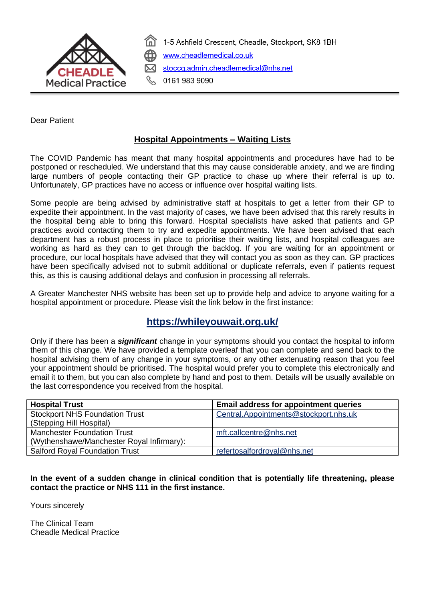

1-5 Ashfield Crescent, Cheadle, Stockport, SK8 1BH www.cheadlemedical.co.uk stoccg.admin.cheadlemedical@nhs.net

0161 983 9090

Dear Patient

## **Hospital Appointments – Waiting Lists**

The COVID Pandemic has meant that many hospital appointments and procedures have had to be postponed or rescheduled. We understand that this may cause considerable anxiety, and we are finding large numbers of people contacting their GP practice to chase up where their referral is up to. Unfortunately, GP practices have no access or influence over hospital waiting lists.

Some people are being advised by administrative staff at hospitals to get a letter from their GP to expedite their appointment. In the vast majority of cases, we have been advised that this rarely results in the hospital being able to bring this forward. Hospital specialists have asked that patients and GP practices avoid contacting them to try and expedite appointments. We have been advised that each department has a robust process in place to prioritise their waiting lists, and hospital colleagues are working as hard as they can to get through the backlog. If you are waiting for an appointment or procedure, our local hospitals have advised that they will contact you as soon as they can. GP practices have been specifically advised not to submit additional or duplicate referrals, even if patients request this, as this is causing additional delays and confusion in processing all referrals.

A Greater Manchester NHS website has been set up to provide help and advice to anyone waiting for a hospital appointment or procedure. Please visit the link below in the first instance:

## **<https://whileyouwait.org.uk/>**

Only if there has been a *significant* change in your symptoms should you contact the hospital to inform them of this change. We have provided a template overleaf that you can complete and send back to the hospital advising them of any change in your symptoms, or any other extenuating reason that you feel your appointment should be prioritised. The hospital would prefer you to complete this electronically and email it to them, but you can also complete by hand and post to them. Details will be usually available on the last correspondence you received from the hospital.

| <b>Hospital Trust</b>                     | <b>Email address for appointment queries</b> |
|-------------------------------------------|----------------------------------------------|
| <b>Stockport NHS Foundation Trust</b>     | Central.Appointments@stockport.nhs.uk        |
| (Stepping Hill Hospital)                  |                                              |
| <b>Manchester Foundation Trust</b>        | mft.callcentre@nhs.net                       |
| (Wythenshawe/Manchester Royal Infirmary): |                                              |
| <b>Salford Royal Foundation Trust</b>     | refertosalfordroyal@nhs.net                  |
|                                           |                                              |

**In the event of a sudden change in clinical condition that is potentially life threatening, please contact the practice or NHS 111 in the first instance.**

Yours sincerely

The Clinical Team Cheadle Medical Practice